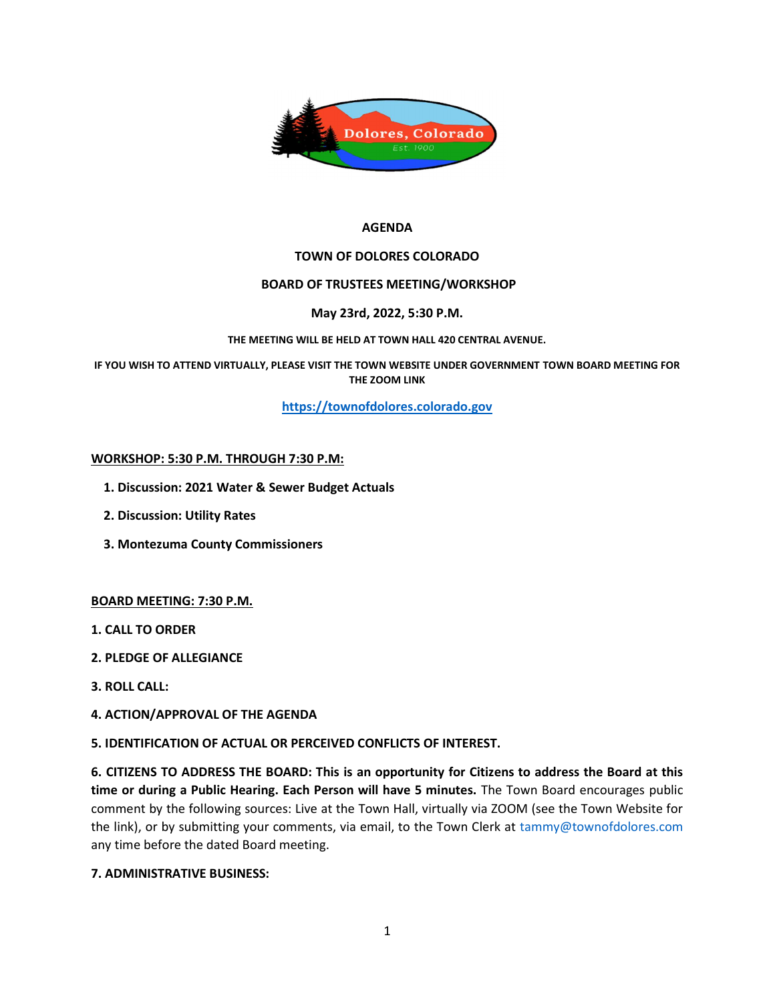

### AGENDA

## TOWN OF DOLORES COLORADO

## BOARD OF TRUSTEES MEETING/WORKSHOP

## May 23rd, 2022, 5:30 P.M.

### THE MEETING WILL BE HELD AT TOWN HALL 420 CENTRAL AVENUE.

IF YOU WISH TO ATTEND VIRTUALLY, PLEASE VISIT THE TOWN WEBSITE UNDER GOVERNMENT TOWN BOARD MEETING FOR THE ZOOM LINK

https://townofdolores.colorado.gov

# WORKSHOP: 5:30 P.M. THROUGH 7:30 P.M:

- 1. Discussion: 2021 Water & Sewer Budget Actuals
- 2. Discussion: Utility Rates
- 3. Montezuma County Commissioners

### BOARD MEETING: 7:30 P.M.

- 1. CALL TO ORDER
- 2. PLEDGE OF ALLEGIANCE
- 3. ROLL CALL:
- 4. ACTION/APPROVAL OF THE AGENDA

### 5. IDENTIFICATION OF ACTUAL OR PERCEIVED CONFLICTS OF INTEREST.

6. CITIZENS TO ADDRESS THE BOARD: This is an opportunity for Citizens to address the Board at this time or during a Public Hearing. Each Person will have 5 minutes. The Town Board encourages public comment by the following sources: Live at the Town Hall, virtually via ZOOM (see the Town Website for the link), or by submitting your comments, via email, to the Town Clerk at tammy@townofdolores.com any time before the dated Board meeting.

# 7. ADMINISTRATIVE BUSINESS: